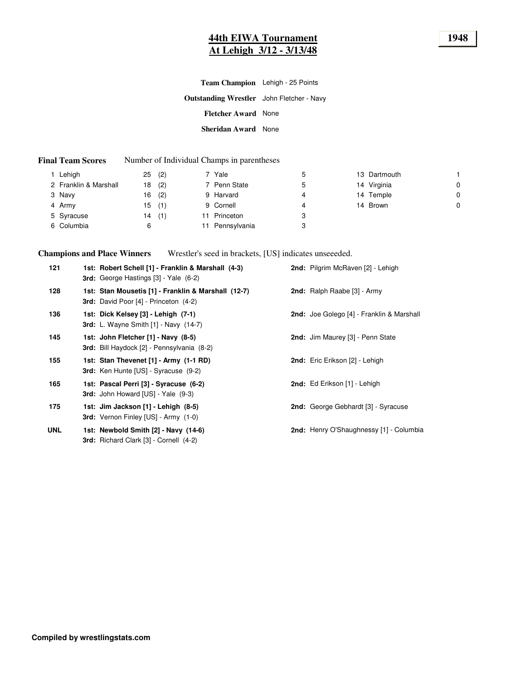## **44th EIWA Tournament 1948 At Lehigh 3/12 - 3/13/48**

| Team Champion Lehigh - 25 Points                 |  |
|--------------------------------------------------|--|
| <b>Outstanding Wrestler</b> John Fletcher - Navy |  |
| <b>Fletcher Award</b> None                       |  |
| Sheridan Award None                              |  |

#### **Final Team Scores** Number of Individual Champs in parentheses

|        | Lehigh                | 25 | (2) | 7 Yale          | 5 | 13 Dartmouth |   |
|--------|-----------------------|----|-----|-----------------|---|--------------|---|
|        | 2 Franklin & Marshall | 18 | (2) | 7 Penn State    | 5 | 14 Virginia  | 0 |
| 3 Navy |                       | 16 | (2) | 9 Harvard       |   | 14 Temple    | 0 |
| 4 Army |                       | 15 | (1) | 9 Cornell       | 4 | 14 Brown     | 0 |
|        | 5 Syracuse            | 14 | (1) | Princeton       | 3 |              |   |
|        | 6 Columbia            | 6  |     | 11 Pennsylvania | 3 |              |   |

**Champions and Place Winners** Wrestler's seed in brackets, [US] indicates unseeeded.

| 121        | 1st: Robert Schell [1] - Franklin & Marshall (4-3)<br>3rd: George Hastings [3] - Yale (6-2)         | 2nd: Pilgrim McRaven [2] - Lehigh                |
|------------|-----------------------------------------------------------------------------------------------------|--------------------------------------------------|
| 128        | 1st: Stan Mousetis [1] - Franklin & Marshall (12-7)<br><b>3rd:</b> David Poor [4] - Princeton (4-2) | 2nd: Ralph Raabe [3] - Army                      |
| 136        | 1st: Dick Kelsey [3] - Lehigh (7-1)<br>3rd: L. Wayne Smith $[1]$ - Navy $(14-7)$                    | <b>2nd:</b> Joe Golego [4] - Franklin & Marshall |
| 145        | 1st: John Fletcher [1] - Navy (8-5)<br><b>3rd:</b> Bill Haydock [2] - Pennsylvania (8-2)            | 2nd: Jim Maurey [3] - Penn State                 |
| 155        | 1st: Stan Thevenet [1] - Army (1-1 RD)<br><b>3rd:</b> Ken Hunte [US] - Syracuse (9-2)               | 2nd: Eric Erikson [2] - Lehigh                   |
| 165        | 1st: Pascal Perri [3] - Syracuse (6-2)<br>3rd: John Howard [US] - Yale (9-3)                        | 2nd: Ed Erikson [1] - Lehigh                     |
| 175        | 1st: Jim Jackson [1] - Lehigh (8-5)<br><b>3rd:</b> Vernon Finley [US] - Army (1-0)                  | <b>2nd:</b> George Gebhardt [3] - Syracuse       |
| <b>UNL</b> | 1st: Newbold Smith [2] - Navy (14-6)<br>3rd: Richard Clark [3] - Cornell (4-2)                      | 2nd: Henry O'Shaughnessy [1] - Columbia          |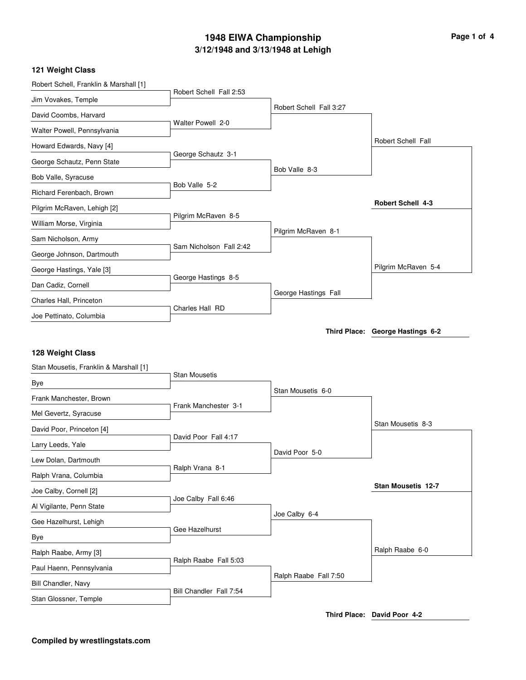# **3/12/1948 and 3/13/1948 at Lehigh 1948 EIWA Championship Page 1 of 4**

#### **121 Weight Class**

| Robert Schell, Franklin & Marshall [1] |                         |                         |                                  |
|----------------------------------------|-------------------------|-------------------------|----------------------------------|
| Jim Vovakes, Temple                    | Robert Schell Fall 2:53 |                         |                                  |
| David Coombs, Harvard                  |                         | Robert Schell Fall 3:27 |                                  |
| Walter Powell, Pennsylvania            | Walter Powell 2-0       |                         |                                  |
| Howard Edwards, Navy [4]               |                         |                         | Robert Schell Fall               |
| George Schautz, Penn State             | George Schautz 3-1      |                         |                                  |
| Bob Valle, Syracuse                    |                         | Bob Valle 8-3           |                                  |
| Richard Ferenbach, Brown               | Bob Valle 5-2           |                         |                                  |
| Pilgrim McRaven, Lehigh [2]            |                         |                         | <b>Robert Schell 4-3</b>         |
| William Morse, Virginia                | Pilgrim McRaven 8-5     |                         |                                  |
| Sam Nicholson, Army                    |                         | Pilgrim McRaven 8-1     |                                  |
| George Johnson, Dartmouth              | Sam Nicholson Fall 2:42 |                         |                                  |
| George Hastings, Yale [3]              |                         |                         | Pilgrim McRaven 5-4              |
| Dan Cadiz, Cornell                     | George Hastings 8-5     |                         |                                  |
| Charles Hall, Princeton                |                         | George Hastings Fall    |                                  |
| Joe Pettinato, Columbia                | Charles Hall RD         |                         |                                  |
|                                        |                         |                         | Third Place: George Hastings 6-2 |
| Stan Mousetis, Franklin & Marshall [1] | <b>Stan Mousetis</b>    |                         |                                  |
| Bye                                    |                         |                         |                                  |
| Frank Manchester, Brown                |                         | Stan Mousetis 6-0       |                                  |
| Mel Gevertz, Syracuse                  | Frank Manchester 3-1    |                         |                                  |
| David Poor, Princeton [4]              |                         |                         | Stan Mousetis 8-3                |
| Larry Leeds, Yale                      | David Poor Fall 4:17    |                         |                                  |
| Lew Dolan, Dartmouth                   |                         | David Poor 5-0          |                                  |
| Ralph Vrana, Columbia                  | Ralph Vrana 8-1         |                         |                                  |
| Joe Calby, Cornell [2]                 |                         |                         | Stan Mousetis 12-7               |
| Al Vigilante, Penn State               | Joe Calby Fall 6:46     |                         |                                  |
| Gee Hazelhurst, Lehigh                 |                         | Joe Calby 6-4           |                                  |
| Bye                                    | Gee Hazelhurst          |                         |                                  |
| Ralph Raabe, Army [3]                  |                         |                         | Ralph Raabe 6-0                  |
| Paul Haenn, Pennsylvania               | Ralph Raabe Fall 5:03   |                         |                                  |
| Bill Chandler, Navy                    |                         | Ralph Raabe Fall 7:50   |                                  |
| Stan Glossner, Temple                  | Bill Chandler Fall 7:54 |                         |                                  |

**Third Place: David Poor 4-2**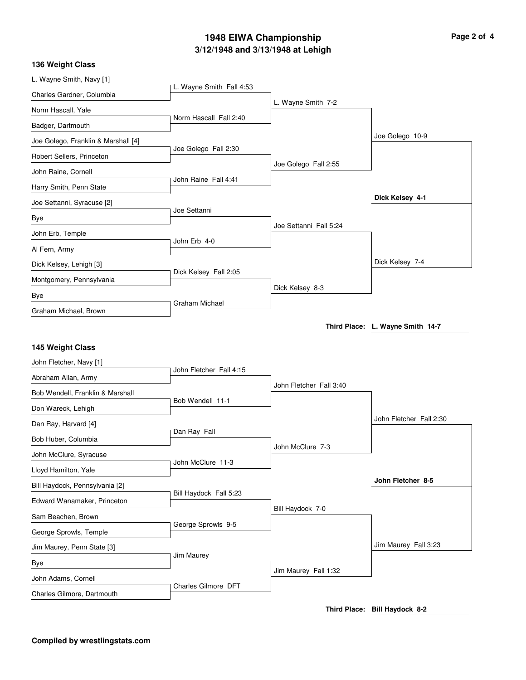# **3/12/1948 and 3/13/1948 at Lehigh 1948 EIWA Championship Page 2 of 4**

#### **136 Weight Class**

| L. Wayne Smith, Navy [1]                                      |                          |                         |                                  |
|---------------------------------------------------------------|--------------------------|-------------------------|----------------------------------|
| Charles Gardner, Columbia                                     | L. Wayne Smith Fall 4:53 |                         |                                  |
| Norm Hascall, Yale                                            |                          | L. Wayne Smith 7-2      |                                  |
| Badger, Dartmouth                                             | Norm Hascall Fall 2:40   |                         |                                  |
| Joe Golego, Franklin & Marshall [4]                           |                          |                         | Joe Golego 10-9                  |
| Robert Sellers, Princeton                                     | Joe Golego Fall 2:30     |                         |                                  |
| John Raine, Cornell                                           |                          | Joe Golego Fall 2:55    |                                  |
| Harry Smith, Penn State                                       | John Raine Fall 4:41     |                         |                                  |
| Joe Settanni, Syracuse [2]                                    |                          |                         | Dick Kelsey 4-1                  |
| Bye                                                           | Joe Settanni             |                         |                                  |
| John Erb, Temple                                              |                          | Joe Settanni Fall 5:24  |                                  |
| Al Fern, Army                                                 | John Erb 4-0             |                         |                                  |
| Dick Kelsey, Lehigh [3]                                       |                          |                         | Dick Kelsey 7-4                  |
| Montgomery, Pennsylvania                                      | Dick Kelsey Fall 2:05    |                         |                                  |
| Bye                                                           |                          | Dick Kelsey 8-3         |                                  |
| Graham Michael, Brown                                         | <b>Graham Michael</b>    |                         |                                  |
|                                                               |                          |                         | Third Place: L. Wayne Smith 14-7 |
| 145 Weight Class                                              |                          |                         |                                  |
|                                                               |                          |                         |                                  |
|                                                               |                          |                         |                                  |
| John Fletcher, Navy [1]                                       | John Fletcher Fall 4:15  |                         |                                  |
| Abraham Allan, Army                                           |                          | John Fletcher Fall 3:40 |                                  |
| Bob Wendell, Franklin & Marshall                              | Bob Wendell 11-1         |                         |                                  |
| Don Wareck, Lehigh                                            |                          |                         | John Fletcher Fall 2:30          |
| Dan Ray, Harvard [4]                                          | Dan Ray Fall             |                         |                                  |
| Bob Huber, Columbia                                           |                          | John McClure 7-3        |                                  |
| John McClure, Syracuse                                        | John McClure 11-3        |                         |                                  |
| Lloyd Hamilton, Yale                                          |                          |                         | John Fletcher 8-5                |
| Bill Haydock, Pennsylvania [2]<br>Edward Wanamaker, Princeton | Bill Haydock Fall 5:23   |                         |                                  |
| Sam Beachen, Brown                                            |                          | Bill Haydock 7-0        |                                  |
| George Sprowls, Temple                                        | George Sprowls 9-5       |                         |                                  |
| Jim Maurey, Penn State [3]                                    |                          |                         | Jim Maurey Fall 3:23             |
| Bye                                                           | Jim Maurey               |                         |                                  |
| John Adams, Cornell                                           |                          | Jim Maurey Fall 1:32    |                                  |
| Charles Gilmore, Dartmouth                                    | Charles Gilmore DFT      |                         |                                  |

**Third Place: Bill Haydock 8-2**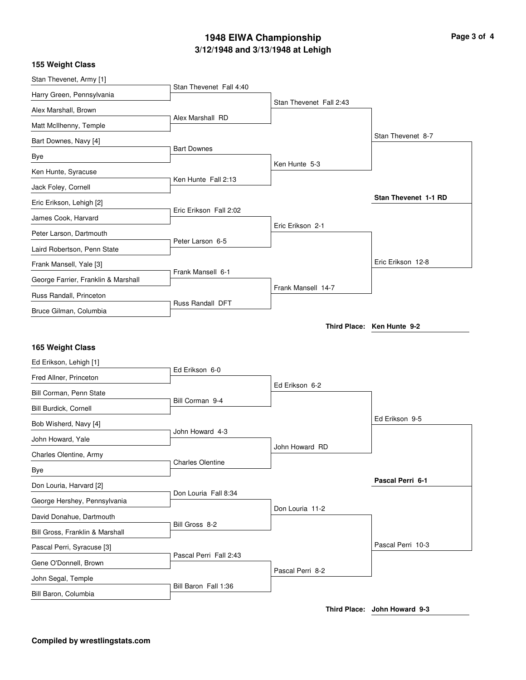# **3/12/1948 and 3/13/1948 at Lehigh 1948 EIWA Championship Page 3 of 4**

| 155 Weight Class                           |                         |                         |                            |
|--------------------------------------------|-------------------------|-------------------------|----------------------------|
| Stan Thevenet, Army [1]                    | Stan Thevenet Fall 4:40 |                         |                            |
| Harry Green, Pennsylvania                  |                         | Stan Thevenet Fall 2:43 |                            |
| Alex Marshall, Brown                       |                         |                         |                            |
| Matt McIlhenny, Temple                     | Alex Marshall RD        |                         |                            |
| Bart Downes, Navy [4]                      |                         |                         | Stan Thevenet 8-7          |
| Bye                                        | <b>Bart Downes</b>      |                         |                            |
| Ken Hunte, Syracuse                        |                         | Ken Hunte 5-3           |                            |
| Jack Foley, Cornell                        | Ken Hunte Fall 2:13     |                         |                            |
| Eric Erikson, Lehigh [2]                   |                         |                         | Stan Thevenet 1-1 RD       |
| James Cook, Harvard                        | Eric Erikson Fall 2:02  |                         |                            |
| Peter Larson, Dartmouth                    |                         | Eric Erikson 2-1        |                            |
| Laird Robertson, Penn State                | Peter Larson 6-5        |                         |                            |
| Frank Mansell, Yale [3]                    |                         |                         | Eric Erikson 12-8          |
| George Farrier, Franklin & Marshall        | Frank Mansell 6-1       |                         |                            |
| Russ Randall, Princeton                    |                         | Frank Mansell 14-7      |                            |
| Bruce Gilman, Columbia                     | <b>Russ Randall DFT</b> |                         |                            |
|                                            |                         |                         | Third Place: Ken Hunte 9-2 |
|                                            |                         |                         |                            |
| 165 Weight Class                           |                         |                         |                            |
| Ed Erikson, Lehigh [1]                     | Ed Erikson 6-0          |                         |                            |
| Fred Allner, Princeton                     |                         | Ed Erikson 6-2          |                            |
| Bill Corman, Penn State                    | Bill Corman 9-4         |                         |                            |
| Bill Burdick, Cornell                      |                         |                         | Ed Erikson 9-5             |
| Bob Wisherd, Navy [4]                      |                         |                         |                            |
| John Howard, Yale                          | John Howard 4-3         |                         |                            |
|                                            |                         | John Howard RD          |                            |
| Charles Olentine, Army                     | <b>Charles Olentine</b> |                         |                            |
| Bye                                        |                         |                         |                            |
| Don Louria, Harvard [2]                    | Don Louria Fall 8:34    |                         | Pascal Perri 6-1           |
| George Hershey, Pennsylvania               |                         | Don Louria 11-2         |                            |
| David Donahue, Dartmouth                   | Bill Gross 8-2          |                         |                            |
| Bill Gross, Franklin & Marshall            |                         |                         |                            |
| Pascal Perri, Syracuse [3]                 | Pascal Perri Fall 2:43  |                         | Pascal Perri 10-3          |
| Gene O'Donnell, Brown                      |                         | Pascal Perri 8-2        |                            |
| John Segal, Temple<br>Bill Baron, Columbia | Bill Baron Fall 1:36    |                         |                            |

**Third Place: John Howard 9-3**